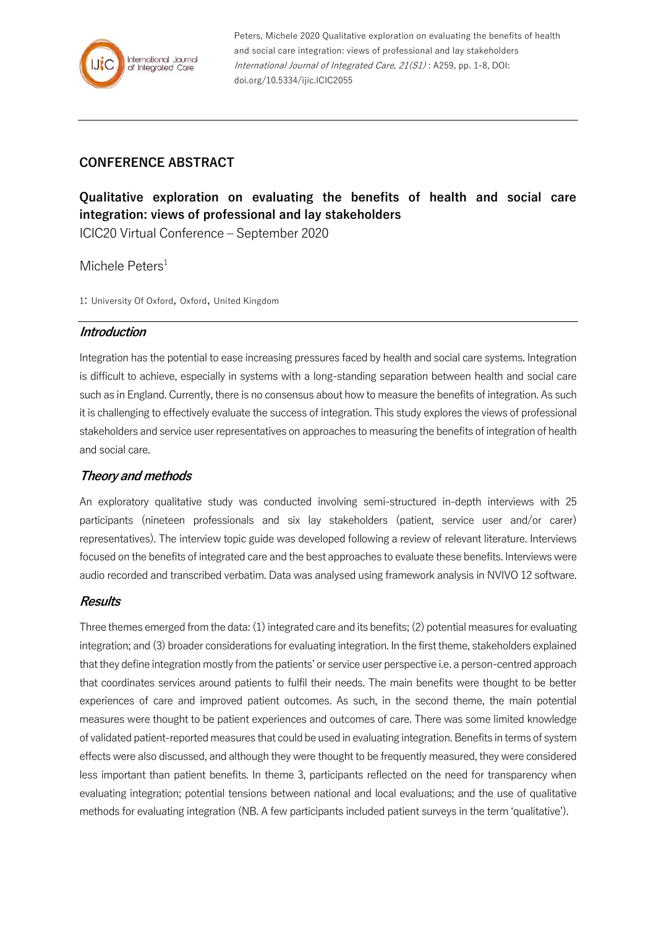

Peters, Michele 2020 Qualitative exploration on evaluating the benefits of health and social care integration: views of professional and lay stakeholders International Journal of Integrated Care, 21(S1) : A259, pp. 1-8, DOI: doi.org/10.5334/ijic.ICIC2055

# **CONFERENCE ABSTRACT**

**Qualitative exploration on evaluating the benefits of health and social care integration: views of professional and lay stakeholders**

ICIC20 Virtual Conference – September 2020

### Michele Peters<sup>1</sup>

1: University Of Oxford, Oxford, United Kingdom

#### **Introduction**

Integration has the potential to ease increasing pressures faced by health and social care systems. Integration is difficult to achieve, especially in systems with a long-standing separation between health and social care such as in England. Currently, there is no consensus about how to measure the benefits of integration. As such it is challenging to effectively evaluate the success of integration. This study explores the views of professional stakeholders and service user representatives on approaches to measuring the benefits of integration of health and social care.

## **Theory and methods**

An exploratory qualitative study was conducted involving semi-structured in-depth interviews with 25 participants (nineteen professionals and six lay stakeholders (patient, service user and/or carer) representatives). The interview topic guide was developed following a review of relevant literature. Interviews focused on the benefits of integrated care and the best approaches to evaluate these benefits. Interviews were audio recorded and transcribed verbatim. Data was analysed using framework analysis in NVIVO 12 software.

#### **Results**

Three themes emerged from the data: (1) integrated care and its benefits; (2) potential measures for evaluating integration; and (3) broader considerations for evaluating integration. In the first theme, stakeholders explained that they define integration mostly from the patients' or service user perspective i.e. a person-centred approach that coordinates services around patients to fulfil their needs. The main benefits were thought to be better experiences of care and improved patient outcomes. As such, in the second theme, the main potential measures were thought to be patient experiences and outcomes of care. There was some limited knowledge of validated patient-reported measures that could be used in evaluating integration. Benefits in terms of system effects were also discussed, and although they were thought to be frequently measured, they were considered less important than patient benefits. In theme 3, participants reflected on the need for transparency when evaluating integration; potential tensions between national and local evaluations; and the use of qualitative methods for evaluating integration (NB. A few participants included patient surveys in the term 'qualitative').